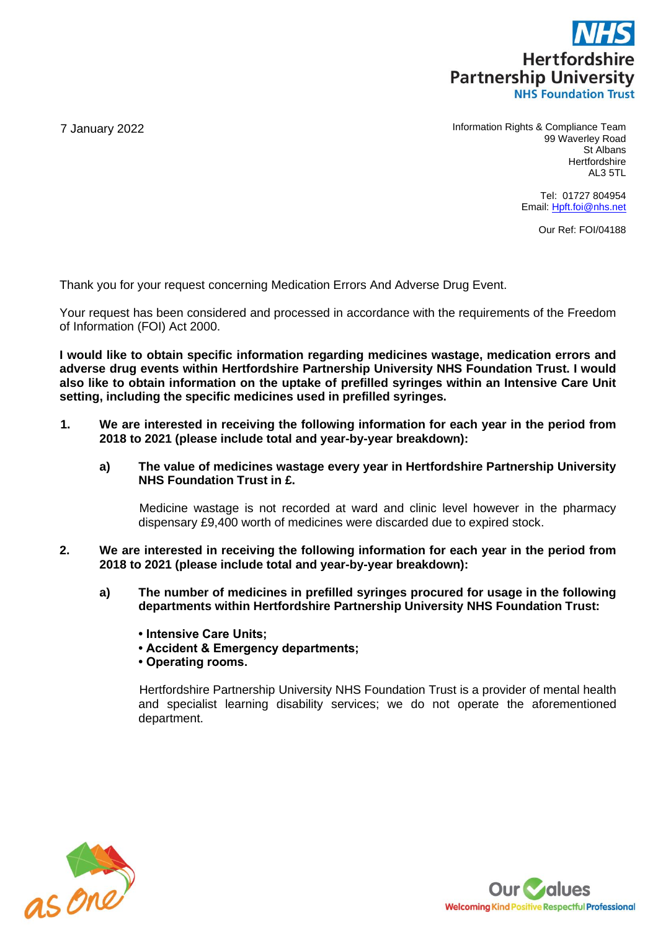

7 January 2022 **Information Rights & Compliance Team** 99 Waverley Road St Albans **Hertfordshire** AL3 5TL

> Tel: 01727 804954 Email: [Hpft.foi@nhs.net](mailto:Hpft.foi@nhs.net)

> > Our Ref: FOI/04188

Thank you for your request concerning Medication Errors And Adverse Drug Event.

Your request has been considered and processed in accordance with the requirements of the Freedom of Information (FOI) Act 2000.

**I would like to obtain specific information regarding medicines wastage, medication errors and adverse drug events within Hertfordshire Partnership University NHS Foundation Trust. I would also like to obtain information on the uptake of prefilled syringes within an Intensive Care Unit setting, including the specific medicines used in prefilled syringes.**

- **1. We are interested in receiving the following information for each year in the period from 2018 to 2021 (please include total and year-by-year breakdown):** 
	- **a) The value of medicines wastage every year in Hertfordshire Partnership University NHS Foundation Trust in £.**

Medicine wastage is not recorded at ward and clinic level however in the pharmacy dispensary £9,400 worth of medicines were discarded due to expired stock.

- **2. We are interested in receiving the following information for each year in the period from 2018 to 2021 (please include total and year-by-year breakdown):**
	- **a) The number of medicines in prefilled syringes procured for usage in the following departments within Hertfordshire Partnership University NHS Foundation Trust:**
		- **Intensive Care Units;**
		- **Accident & Emergency departments;**
		- **Operating rooms.**

Hertfordshire Partnership University NHS Foundation Trust is a provider of mental health and specialist learning disability services; we do not operate the aforementioned department.